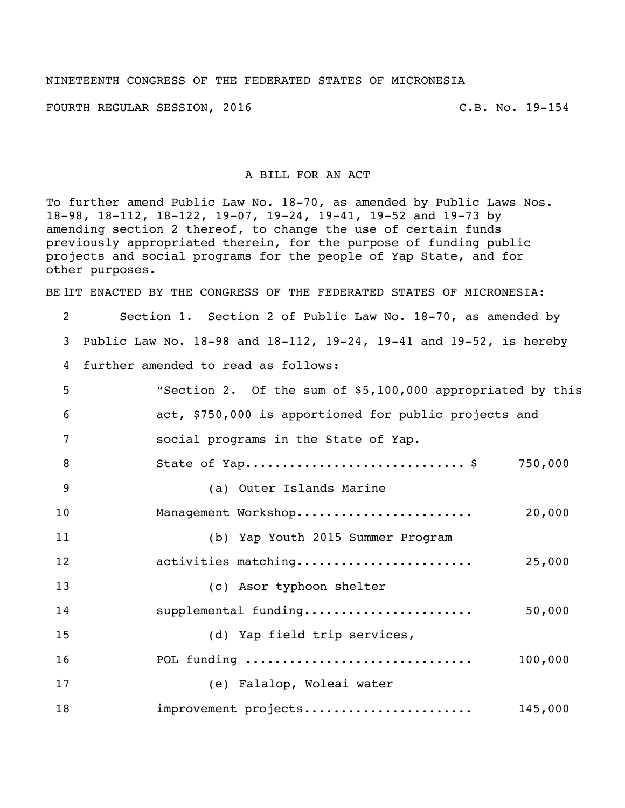## NINETEENTH CONGRESS OF THE FEDERATED STATES OF MICRONESIA

FOURTH REGULAR SESSION, 2016 C.B. No. 19-154

A BILL FOR AN ACT

To further amend Public Law No. 18-70, as amended by Public Laws Nos. 18-98, 18-112, 18-122, 19-07, 19-24, 19-41, 19-52 and 19-73 by amending section 2 thereof, to change the use of certain funds previously appropriated therein, for the purpose of funding public projects and social programs for the people of Yap State, and for other purposes.

BE IIT ENACTED BY THE CONGRESS OF THE FEDERATED STATES OF MICRONESIA:

 Section 1. Section 2 of Public Law No. 18-70, as amended by Public Law No. 18-98 and 18-112, 19-24, 19-41 and 19-52, is hereby further amended to read as follows: "Section 2. Of the sum of \$5,100,000 appropriated by this act, \$750,000 is apportioned for public projects and social programs in the State of Yap. 8 State of Yap................................\$ 750,000

 (a) Outer Islands Marine Management Workshop........................ 20,000 (b) Yap Youth 2015 Summer Program activities matching........................ 25,000 (c) Asor typhoon shelter supplemental funding....................... 50,000 (d) Yap field trip services, POL funding ............................... 100,000 (e) Falalop, Woleai water improvement projects....................... 145,000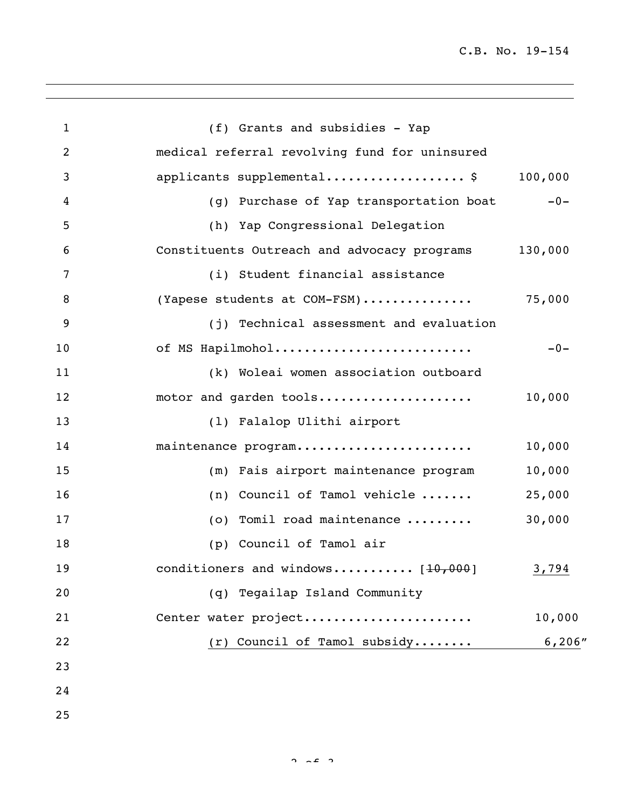| $\mathbf{1}$   | (f) Grants and subsidies - Yap                      |         |
|----------------|-----------------------------------------------------|---------|
| $\overline{c}$ | medical referral revolving fund for uninsured       |         |
| 3              | applicants supplemental\$                           | 100,000 |
| 4              | (g) Purchase of Yap transportation boat             | $-0-$   |
| 5              | (h) Yap Congressional Delegation                    |         |
| 6              | Constituents Outreach and advocacy programs 130,000 |         |
| 7              | (i) Student financial assistance                    |         |
| 8              | (Yapese students at COM-FSM)                        | 75,000  |
| 9              | (j) Technical assessment and evaluation             |         |
| 10             | of MS Hapilmohol                                    | $-0-$   |
| 11             | (k) Woleai women association outboard               |         |
| 12             | motor and garden tools                              | 10,000  |
| 13             | (1) Falalop Ulithi airport                          |         |
| 14             | maintenance program                                 | 10,000  |
| 15             | (m) Fais airport maintenance program                | 10,000  |
| 16             | (n) Council of Tamol vehicle $\ldots \ldots$        | 25,000  |
| 17             | (o) Tomil road maintenance                          | 30,000  |
| 18             | (p) Council of Tamol air                            |         |
| 19             | conditioners and windows $[10,000]$                 | 3,794   |
| 20             | (q) Tegailap Island Community                       |         |
| 21             | Center water project                                | 10,000  |
| 22             | $(r)$ Council of Tamol subsidy                      | 6,206"  |
| 23             |                                                     |         |
| 24             |                                                     |         |
| 25             |                                                     |         |

 $2 \times 2$